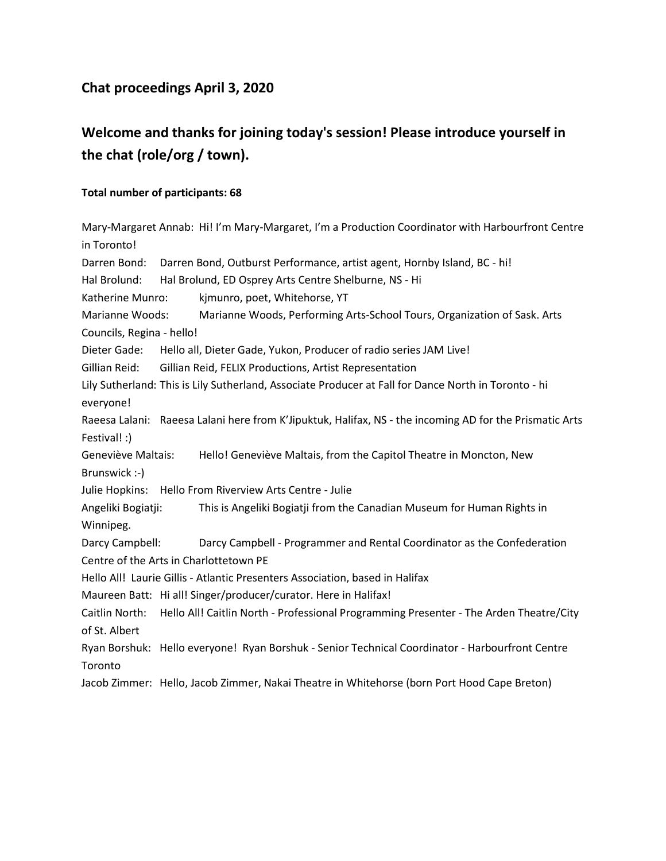## **Chat proceedings April 3, 2020**

# **Welcome and thanks for joining today's session! Please introduce yourself in the chat (role/org / town).**

#### **Total number of participants: 68**

Mary-Margaret Annab: Hi! I'm Mary-Margaret, I'm a Production Coordinator with Harbourfront Centre in Toronto! Darren Bond: Darren Bond, Outburst Performance, artist agent, Hornby Island, BC - hi! Hal Brolund: Hal Brolund, ED Osprey Arts Centre Shelburne, NS - Hi Katherine Munro: kjmunro, poet, Whitehorse, YT Marianne Woods: Marianne Woods, Performing Arts-School Tours, Organization of Sask. Arts Councils, Regina - hello! Dieter Gade: Hello all, Dieter Gade, Yukon, Producer of radio series JAM Live! Gillian Reid: Gillian Reid, FELIX Productions, Artist Representation Lily Sutherland: This is Lily Sutherland, Associate Producer at Fall for Dance North in Toronto - hi everyone! Raeesa Lalani: Raeesa Lalani here from K'Jipuktuk, Halifax, NS - the incoming AD for the Prismatic Arts Festival! :) Geneviève Maltais: Hello! Geneviève Maltais, from the Capitol Theatre in Moncton, New Brunswick :-) Julie Hopkins: Hello From Riverview Arts Centre - Julie Angeliki Bogiatji: This is Angeliki Bogiatji from the Canadian Museum for Human Rights in Winnipeg. Darcy Campbell: Darcy Campbell - Programmer and Rental Coordinator as the Confederation Centre of the Arts in Charlottetown PE Hello All! Laurie Gillis - Atlantic Presenters Association, based in Halifax Maureen Batt: Hi all! Singer/producer/curator. Here in Halifax! Caitlin North: Hello All! Caitlin North - Professional Programming Presenter - The Arden Theatre/City of St. Albert Ryan Borshuk: Hello everyone! Ryan Borshuk - Senior Technical Coordinator - Harbourfront Centre Toronto Jacob Zimmer: Hello, Jacob Zimmer, Nakai Theatre in Whitehorse (born Port Hood Cape Breton)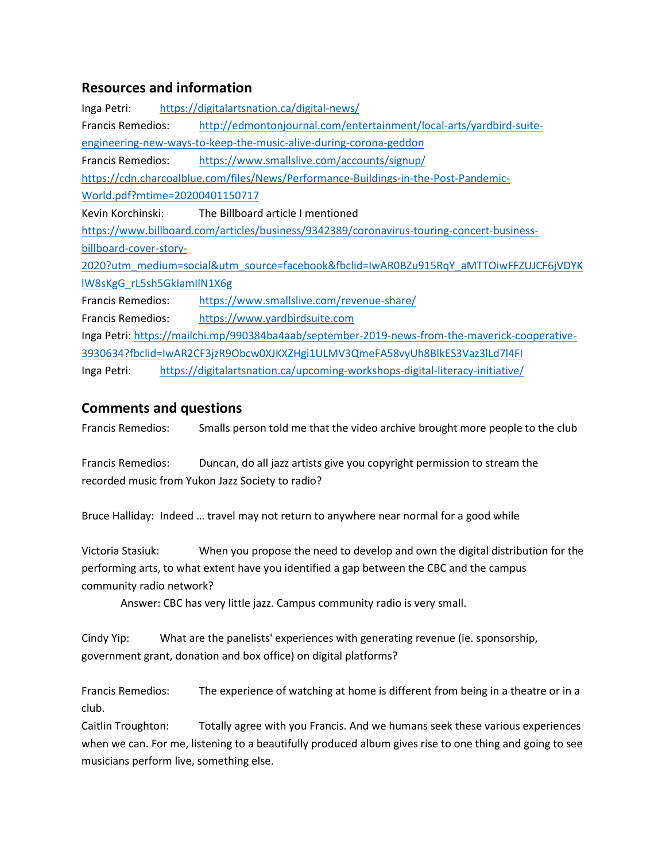### **Resources and information**

Inga Petri: <https://digitalartsnation.ca/digital-news/> Francis Remedios: [http://edmontonjournal.com/entertainment/local-arts/yardbird-suite](http://edmontonjournal.com/entertainment/local-arts/yardbird-suite-engineering-new-ways-to-keep-the-music-alive-during-corona-geddon)[engineering-new-ways-to-keep-the-music-alive-during-corona-geddon](http://edmontonjournal.com/entertainment/local-arts/yardbird-suite-engineering-new-ways-to-keep-the-music-alive-during-corona-geddon) Francis Remedios: <https://www.smallslive.com/accounts/signup/> [https://cdn.charcoalblue.com/files/News/Performance-Buildings-in-the-Post-Pandemic-](https://cdn.charcoalblue.com/files/News/Performance-Buildings-in-the-Post-Pandemic-World.pdf?mtime=20200401150717)[World.pdf?mtime=20200401150717](https://cdn.charcoalblue.com/files/News/Performance-Buildings-in-the-Post-Pandemic-World.pdf?mtime=20200401150717) Kevin Korchinski: The Billboard article I mentioned [https://www.billboard.com/articles/business/9342389/coronavirus-touring-concert-business](https://www.billboard.com/articles/business/9342389/coronavirus-touring-concert-business-billboard-cover-story-2020?utm_medium=social&utm_source=facebook&fbclid=IwAR0BZu915RqY_aMTTOiwFFZUJCF6jVDYKlW8sKgG_rL5sh5GkIamIlN1X6g)[billboard-cover-story-](https://www.billboard.com/articles/business/9342389/coronavirus-touring-concert-business-billboard-cover-story-2020?utm_medium=social&utm_source=facebook&fbclid=IwAR0BZu915RqY_aMTTOiwFFZUJCF6jVDYKlW8sKgG_rL5sh5GkIamIlN1X6g)[2020?utm\\_medium=social&utm\\_source=facebook&fbclid=IwAR0BZu915RqY\\_aMTTOiwFFZUJCF6jVDYK](https://www.billboard.com/articles/business/9342389/coronavirus-touring-concert-business-billboard-cover-story-2020?utm_medium=social&utm_source=facebook&fbclid=IwAR0BZu915RqY_aMTTOiwFFZUJCF6jVDYKlW8sKgG_rL5sh5GkIamIlN1X6g) [lW8sKgG\\_rL5sh5GkIamIlN1X6g](https://www.billboard.com/articles/business/9342389/coronavirus-touring-concert-business-billboard-cover-story-2020?utm_medium=social&utm_source=facebook&fbclid=IwAR0BZu915RqY_aMTTOiwFFZUJCF6jVDYKlW8sKgG_rL5sh5GkIamIlN1X6g) Francis Remedios: <https://www.smallslive.com/revenue-share/> Francis Remedios: [https://www.yardbirdsuite.com](https://www.yardbirdsuite.com/) Inga Petri: [https://mailchi.mp/990384ba4aab/september-2019-news-from-the-maverick-cooperative-](https://mailchi.mp/990384ba4aab/september-2019-news-from-the-maverick-cooperative-3930634?fbclid=IwAR2CF3jzR9Obcw0XJKXZHgi1ULMV3QmeFA58vyUh8BlkES3Vaz3lLd7l4FI)[3930634?fbclid=IwAR2CF3jzR9Obcw0XJKXZHgi1ULMV3QmeFA58vyUh8BlkES3Vaz3lLd7l4FI](https://mailchi.mp/990384ba4aab/september-2019-news-from-the-maverick-cooperative-3930634?fbclid=IwAR2CF3jzR9Obcw0XJKXZHgi1ULMV3QmeFA58vyUh8BlkES3Vaz3lLd7l4FI) Inga Petri: <https://digitalartsnation.ca/upcoming-workshops-digital-literacy-initiative/>

### **Comments and questions**

Francis Remedios: Smalls person told me that the video archive brought more people to the club

Francis Remedios: Duncan, do all jazz artists give you copyright permission to stream the recorded music from Yukon Jazz Society to radio?

Bruce Halliday: Indeed … travel may not return to anywhere near normal for a good while

Victoria Stasiuk: When you propose the need to develop and own the digital distribution for the performing arts, to what extent have you identified a gap between the CBC and the campus community radio network?

Answer: CBC has very little jazz. Campus community radio is very small.

Cindy Yip: What are the panelists' experiences with generating revenue (ie. sponsorship, government grant, donation and box office) on digital platforms?

Francis Remedios: The experience of watching at home is different from being in a theatre or in a club.

Caitlin Troughton: Totally agree with you Francis. And we humans seek these various experiences when we can. For me, listening to a beautifully produced album gives rise to one thing and going to see musicians perform live, something else.